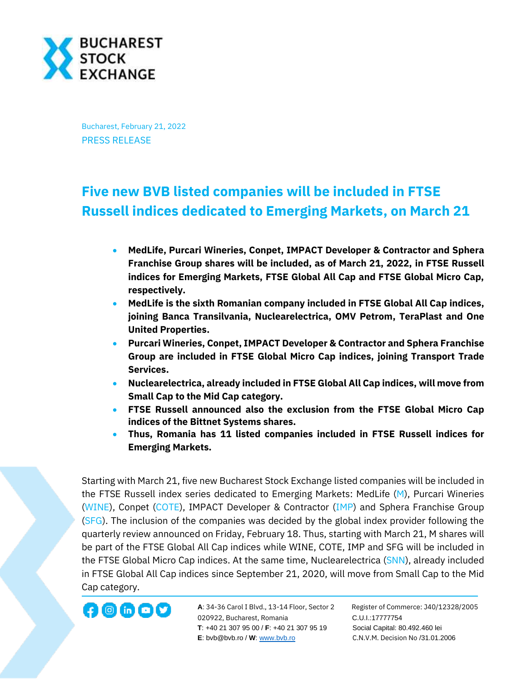

Bucharest, February 21, 2022 PRESS RELEASE

## **Five new BVB listed companies will be included in FTSE Russell indices dedicated to Emerging Markets, on March 21**

- **MedLife, Purcari Wineries, Conpet, IMPACT Developer & Contractor and Sphera Franchise Group shares will be included, as of March 21, 2022, in FTSE Russell indices for Emerging Markets, FTSE Global All Cap and FTSE Global Micro Cap, respectively.**
- **MedLife is the sixth Romanian company included in FTSE Global All Cap indices, joining Banca Transilvania, Nuclearelectrica, OMV Petrom, TeraPlast and One United Properties.**
- **Purcari Wineries, Conpet, IMPACT Developer & Contractor and Sphera Franchise Group are included in FTSE Global Micro Cap indices, joining Transport Trade Services.**
- **Nuclearelectrica, already included in FTSE Global All Cap indices, will move from Small Cap to the Mid Cap category.**
- **FTSE Russell announced also the exclusion from the FTSE Global Micro Cap indices of the Bittnet Systems shares.**
- **Thus, Romania has 11 listed companies included in FTSE Russell indices for Emerging Markets.**

Starting with March 21, five new Bucharest Stock Exchange listed companies will be included in the FTSE Russell index series dedicated to Emerging Markets: MedLife [\(M\)](https://bvb.ro/FinancialInstruments/Details/FinancialInstrumentsDetails.aspx?s=m), Purcari Wineries [\(WINE\)](https://bvb.ro/FinancialInstruments/Details/FinancialInstrumentsDetails.aspx?s=wine), Conpet [\(COTE\)](https://bvb.ro/FinancialInstruments/Details/FinancialInstrumentsDetails.aspx?s=COTE), IMPACT Developer & Contractor [\(IMP\)](https://bvb.ro/FinancialInstruments/Details/FinancialInstrumentsDetails.aspx?s=IMP) and Sphera Franchise Group [\(SFG\)](https://bvb.ro/FinancialInstruments/Details/FinancialInstrumentsDetails.aspx?s=SFG). The inclusion of the companies was decided by the global index provider following the quarterly review announced on Friday, February 18. Thus, starting with March 21, M shares will be part of the FTSE Global All Cap indices while WINE, COTE, IMP and SFG will be included in the FTSE Global Micro Cap indices. At the same time, Nuclearelectrica [\(SNN\)](https://bvb.ro/FinancialInstruments/Details/FinancialInstrumentsDetails.aspx?s=snn), already included in FTSE Global All Cap indices since September 21, 2020, will move from Small Cap to the Mid Cap category.



**A**: 34-36 Carol I Blvd., 13-14 Floor, Sector 2 Register of Commerce: J40/12328/2005 **1200 CD CD CD** A: 34-36 Carol I Blvd., 13-14 Floor, Sector 2 Register of Comm<br>020922, Bucharest, Romania C.U.I.:17777754  **T**: +40 21 307 95 00 / **F**: +40 21 307 95 19 Social Capital: 80.492.460 lei **E**: bvb@bvb.ro / **W**[: www.bvb.ro](http://www.bvb.ro/) C.N.V.M. Decision No /31.01.2006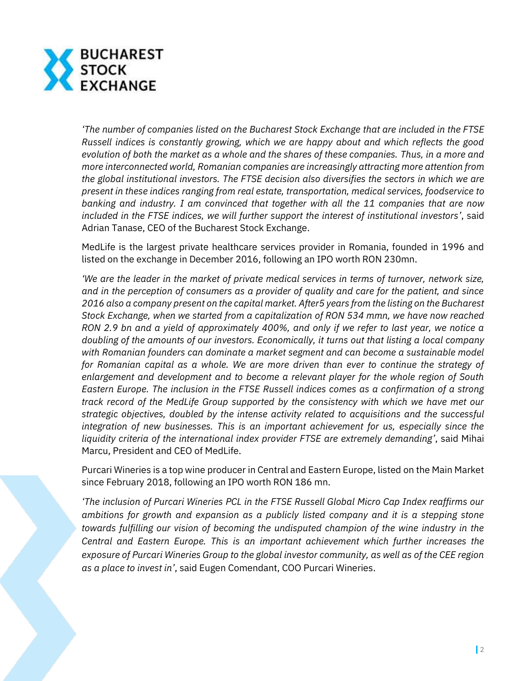

*'The number of companies listed on the Bucharest Stock Exchange that are included in the FTSE Russell indices is constantly growing, which we are happy about and which reflects the good evolution of both the market as a whole and the shares of these companies. Thus, in a more and more interconnected world, Romanian companies are increasingly attracting more attention from the global institutional investors. The FTSE decision also diversifies the sectors in which we are present in these indices ranging from real estate, transportation, medical services, foodservice to banking and industry. I am convinced that together with all the 11 companies that are now included in the FTSE indices, we will further support the interest of institutional investors'*, said Adrian Tanase, CEO of the Bucharest Stock Exchange.

MedLife is the largest private healthcare services provider in Romania, founded in 1996 and listed on the exchange in December 2016, following an IPO worth RON 230mn.

*'We are the leader in the market of private medical services in terms of turnover, network size, and in the perception of consumers as a provider of quality and care for the patient, and since 2016 also a company present on the capital market. After5 years from the listing on the Bucharest Stock Exchange, when we started from a capitalization of RON 534 mmn, we have now reached RON 2.9 bn and a yield of approximately 400%, and only if we refer to last year, we notice a doubling of the amounts of our investors. Economically, it turns out that listing a local company with Romanian founders can dominate a market segment and can become a sustainable model for Romanian capital as a whole. We are more driven than ever to continue the strategy of enlargement and development and to become a relevant player for the whole region of South Eastern Europe. The inclusion in the FTSE Russell indices comes as a confirmation of a strong track record of the MedLife Group supported by the consistency with which we have met our strategic objectives, doubled by the intense activity related to acquisitions and the successful integration of new businesses. This is an important achievement for us, especially since the liquidity criteria of the international index provider FTSE are extremely demanding'*, said Mihai Marcu, President and CEO of MedLife.

Purcari Wineries is a top wine producer in Central and Eastern Europe, listed on the Main Market since February 2018, following an IPO worth RON 186 mn.

*'The inclusion of Purcari Wineries PCL in the FTSE Russell Global Micro Cap Index reaffirms our ambitions for growth and expansion as a publicly listed company and it is a stepping stone towards fulfilling our vision of becoming the undisputed champion of the wine industry in the Central and Eastern Europe. This is an important achievement which further increases the exposure of Purcari Wineries Group to the global investor community, as well as of the CEE region as a place to invest in'*, said Eugen Comendant, COO Purcari Wineries.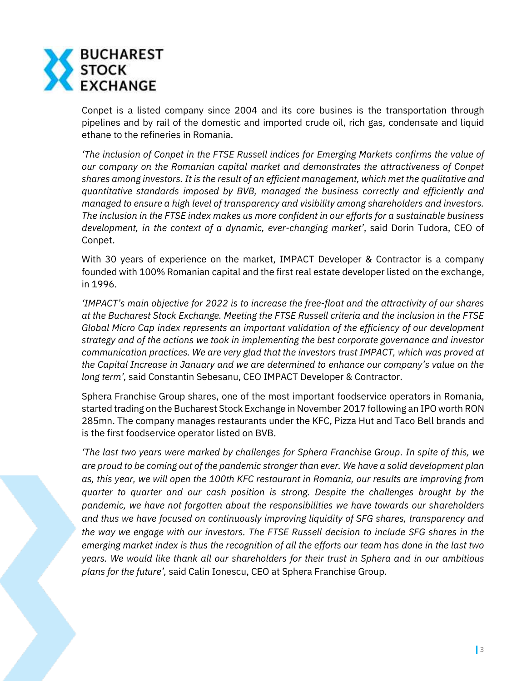

Conpet is a listed company since 2004 and its core busines is the transportation through pipelines and by rail of the domestic and imported crude oil, rich gas, condensate and liquid ethane to the refineries in Romania.

*'The inclusion of Conpet in the FTSE Russell indices for Emerging Markets confirms the value of our company on the Romanian capital market and demonstrates the attractiveness of Conpet shares among investors. It is the result of an efficient management, which met the qualitative and quantitative standards imposed by BVB, managed the business correctly and efficiently and managed to ensure a high level of transparency and visibility among shareholders and investors. The inclusion in the FTSE index makes us more confident in our efforts for a sustainable business development, in the context of a dynamic, ever-changing market'*, said Dorin Tudora, CEO of Conpet.

With 30 years of experience on the market, IMPACT Developer & Contractor is a company founded with 100% Romanian capital and the first real estate developer listed on the exchange, in 1996.

*'IMPACT's main objective for 2022 is to increase the free-float and the attractivity of our shares at the Bucharest Stock Exchange. Meeting the FTSE Russell criteria and the inclusion in the FTSE Global Micro Cap index represents an important validation of the efficiency of our development strategy and of the actions we took in implementing the best corporate governance and investor communication practices. We are very glad that the investors trust IMPACT, which was proved at the Capital Increase in January and we are determined to enhance our company's value on the long term',* said Constantin Sebesanu, CEO IMPACT Developer & Contractor.

Sphera Franchise Group shares, one of the most important foodservice operators in Romania, started trading on the Bucharest Stock Exchange in November 2017 following an IPO worth RON 285mn. The company manages restaurants under the KFC, Pizza Hut and Taco Bell brands and is the first foodservice operator listed on BVB.

*'The last two years were marked by challenges for Sphera Franchise Group. In spite of this, we are proud to be coming out of the pandemic stronger than ever. We have a solid development plan as, this year, we will open the 100th KFC restaurant in Romania, our results are improving from quarter to quarter and our cash position is strong. Despite the challenges brought by the pandemic, we have not forgotten about the responsibilities we have towards our shareholders and thus we have focused on continuously improving liquidity of SFG shares, transparency and the way we engage with our investors. The FTSE Russell decision to include SFG shares in the emerging market index is thus the recognition of all the efforts our team has done in the last two years. We would like thank all our shareholders for their trust in Sphera and in our ambitious plans for the future',* said Calin Ionescu, CEO at Sphera Franchise Group.